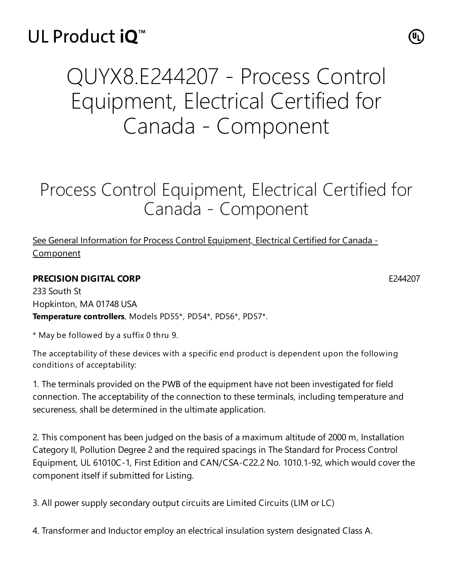## UL Product iQ<sup>™</sup>

# QUYX8.E244207 - Process Control Equipment, Electrical Certified for Canada - Component

### Process Control Equipment, Electrical Certified for Canada - Component

### See General Information for Process Control Equipment, Electrical Certified for Canada -**[Component](https://iq.ulprospector.com/cgi-bin/XYV/template/LISEXT/1FRAME/showpage.html?&name=QUYX8.GuideInfo&ccnshorttitle=Process+Control+Equipment,+Electrical+Certified+for+Canada+-+Component&objid=1074219993&cfgid=1073741824&version=versionless&parent_id=1073992559&sequence=1)**

#### **PRECISION DIGITAL CORP** E244207

233 South St Hopkinton, MA 01748 USA **Temperature controllers**, Models PD55\*, PD54\*, PD56\*, PD57\*.

\* May be followed by a suffix 0 thru 9.

The acceptability of these devices with a specific end product is dependent upon the following conditions of acceptability:

1. The terminals provided on the PWB of the equipment have not been investigated for field connection. The acceptability of the connection to these terminals, including temperature and secureness, shall be determined in the ultimate application.

2. This component has been judged on the basis of a maximum altitude of 2000 m, Installation Category II, Pollution Degree 2 and the required spacings in The Standard for Process Control Equipment, UL 61010C-1, First Edition and CAN/CSA-C22.2 No. 1010.1-92, which would cover the component itself if submitted for Listing.

3. All power supply secondary output circuits are Limited Circuits (LIM or LC)

4. Transformer and Inductor employ an electrical insulation system designated Class A.